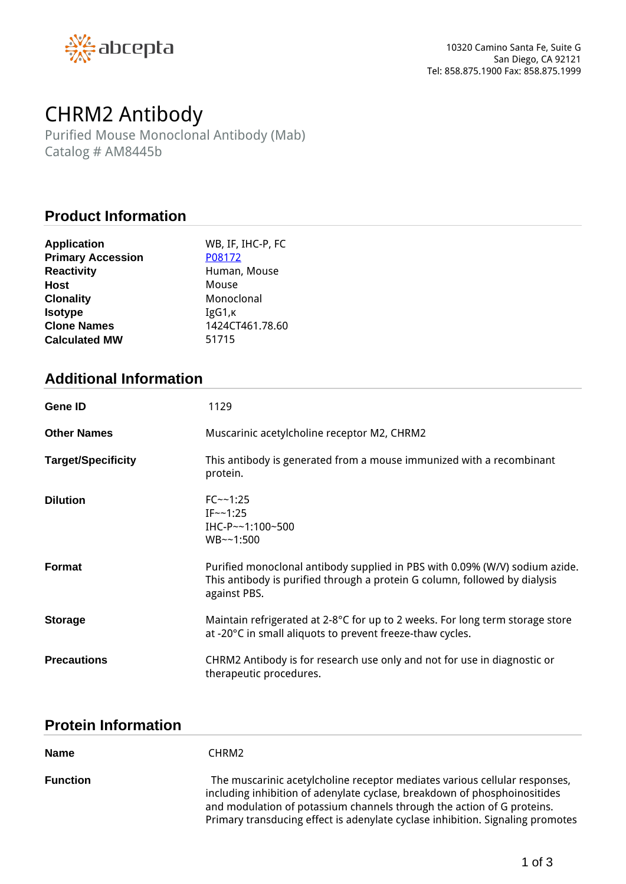

# *CHRM2 Antibody*

*Purified Mouse Monoclonal Antibody (Mab) Catalog # AM8445b*

#### **Product Information**

| <b>Application</b>       | WB, IF, IHC-P, FC |
|--------------------------|-------------------|
| <b>Primary Accession</b> | P08172            |
| <b>Reactivity</b>        | Human, Mouse      |
| <b>Host</b>              | Mouse             |
| <b>Clonality</b>         | Monoclonal        |
| <b>Isotype</b>           | IgG1,K            |
| <b>Clone Names</b>       | 1424CT461.78.60   |
| <b>Calculated MW</b>     | 51715             |

## **Additional Information**

| Gene ID                   | 1129                                                                                                                                                                      |
|---------------------------|---------------------------------------------------------------------------------------------------------------------------------------------------------------------------|
| <b>Other Names</b>        | Muscarinic acetylcholine receptor M2, CHRM2                                                                                                                               |
| <b>Target/Specificity</b> | This antibody is generated from a mouse immunized with a recombinant<br>protein.                                                                                          |
| <b>Dilution</b>           | $FC - 1:25$<br>$IF \sim 1:25$<br>IHC-P~~1:100~500<br>WB~1:500                                                                                                             |
| <b>Format</b>             | Purified monoclonal antibody supplied in PBS with 0.09% (W/V) sodium azide.<br>This antibody is purified through a protein G column, followed by dialysis<br>against PBS. |
| <b>Storage</b>            | Maintain refrigerated at 2-8°C for up to 2 weeks. For long term storage store<br>at -20°C in small aliquots to prevent freeze-thaw cycles.                                |
| <b>Precautions</b>        | CHRM2 Antibody is for research use only and not for use in diagnostic or<br>therapeutic procedures.                                                                       |

### **Protein Information**

| <b>Name</b>     | CHRM2                                                                                                                                                                                                                                                                                                               |
|-----------------|---------------------------------------------------------------------------------------------------------------------------------------------------------------------------------------------------------------------------------------------------------------------------------------------------------------------|
| <b>Function</b> | The muscarinic acetylcholine receptor mediates various cellular responses,<br>including inhibition of adenylate cyclase, breakdown of phosphoinositides<br>and modulation of potassium channels through the action of G proteins.<br>Primary transducing effect is adenylate cyclase inhibition. Signaling promotes |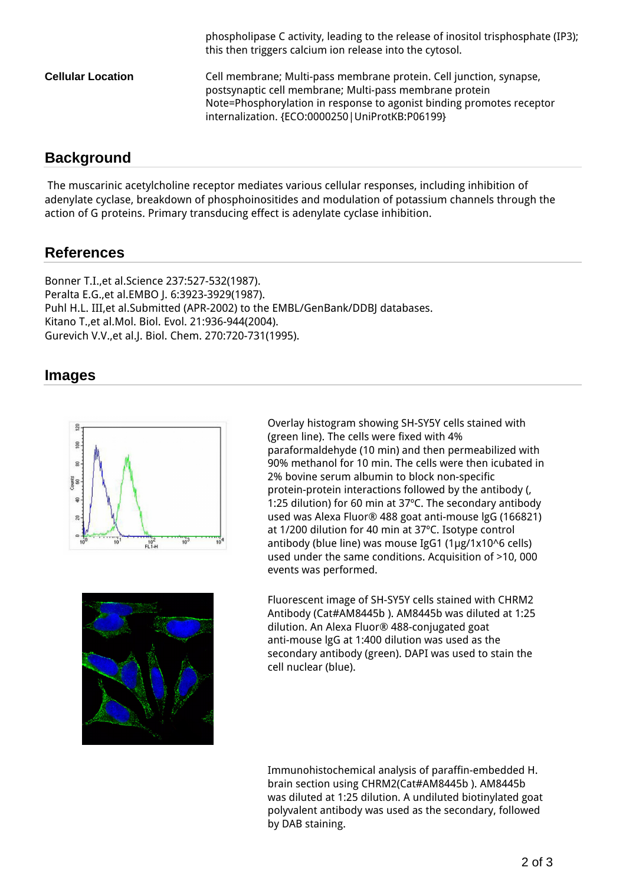|                          | phospholipase C activity, leading to the release of inositol trisphosphate (IP3);<br>this then triggers calcium ion release into the cytosol.                                                                                                                |
|--------------------------|--------------------------------------------------------------------------------------------------------------------------------------------------------------------------------------------------------------------------------------------------------------|
| <b>Cellular Location</b> | Cell membrane; Multi-pass membrane protein. Cell junction, synapse,<br>postsynaptic cell membrane; Multi-pass membrane protein<br>Note=Phosphorylation in response to agonist binding promotes receptor<br>internalization. {ECO:0000250   UniProtKB:P06199} |

### **Background**

 *The muscarinic acetylcholine receptor mediates various cellular responses, including inhibition of adenylate cyclase, breakdown of phosphoinositides and modulation of potassium channels through the action of G proteins. Primary transducing effect is adenylate cyclase inhibition.*

### **References**

*Bonner T.I.,et al.Science 237:527-532(1987). Peralta E.G.,et al.EMBO J. 6:3923-3929(1987). Puhl H.L. III,et al.Submitted (APR-2002) to the EMBL/GenBank/DDBJ databases. Kitano T.,et al.Mol. Biol. Evol. 21:936-944(2004). Gurevich V.V.,et al.J. Biol. Chem. 270:720-731(1995).*

#### **Images**



*Overlay histogram showing SH-SY5Y cells stained with (green line). The cells were fixed with 4% paraformaldehyde (10 min) and then permeabilized with 90% methanol for 10 min. The cells were then icubated in 2% bovine serum albumin to block non-specific protein-protein interactions followed by the antibody (, 1:25 dilution) for 60 min at 37ºC. The secondary antibody used was Alexa Fluor® 488 goat anti-mouse lgG (166821) at 1/200 dilution for 40 min at 37ºC. Isotype control antibody (blue line) was mouse IgG1 (1μg/1x10^6 cells) used under the same conditions. Acquisition of >10, 000 events was performed.*



*Fluorescent image of SH-SY5Y cells stained with CHRM2 Antibody (Cat#AM8445b ). AM8445b was diluted at 1:25 dilution. An Alexa Fluor® 488-conjugated goat anti-mouse lgG at 1:400 dilution was used as the secondary antibody (green). DAPI was used to stain the cell nuclear (blue).*

*Immunohistochemical analysis of paraffin-embedded H. brain section using CHRM2(Cat#AM8445b ). AM8445b was diluted at 1:25 dilution. A undiluted biotinylated goat polyvalent antibody was used as the secondary, followed by DAB staining.*